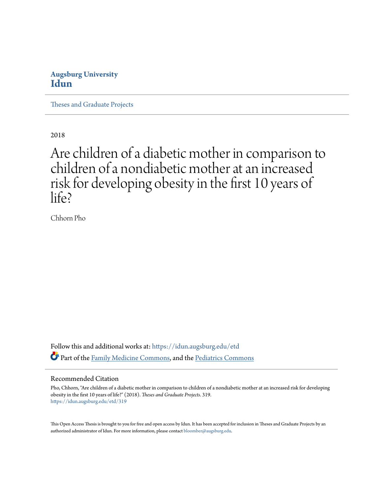## **Augsburg University [Idun](https://idun.augsburg.edu?utm_source=idun.augsburg.edu%2Fetd%2F319&utm_medium=PDF&utm_campaign=PDFCoverPages)**

[Theses and Graduate Projects](https://idun.augsburg.edu/etd?utm_source=idun.augsburg.edu%2Fetd%2F319&utm_medium=PDF&utm_campaign=PDFCoverPages)

2018

# Are children of a diabetic mother in comparison to children of a nondiabetic mother at an increased risk for developing obesity in the first 10 years of life?

Chhorn Pho

Follow this and additional works at: [https://idun.augsburg.edu/etd](https://idun.augsburg.edu/etd?utm_source=idun.augsburg.edu%2Fetd%2F319&utm_medium=PDF&utm_campaign=PDFCoverPages) Part of the [Family Medicine Commons](http://network.bepress.com/hgg/discipline/1354?utm_source=idun.augsburg.edu%2Fetd%2F319&utm_medium=PDF&utm_campaign=PDFCoverPages), and the [Pediatrics Commons](http://network.bepress.com/hgg/discipline/700?utm_source=idun.augsburg.edu%2Fetd%2F319&utm_medium=PDF&utm_campaign=PDFCoverPages)

#### Recommended Citation

Pho, Chhorn, "Are children of a diabetic mother in comparison to children of a nondiabetic mother at an increased risk for developing obesity in the first 10 years of life?" (2018). *Theses and Graduate Projects*. 319. [https://idun.augsburg.edu/etd/319](https://idun.augsburg.edu/etd/319?utm_source=idun.augsburg.edu%2Fetd%2F319&utm_medium=PDF&utm_campaign=PDFCoverPages)

This Open Access Thesis is brought to you for free and open access by Idun. It has been accepted for inclusion in Theses and Graduate Projects by an authorized administrator of Idun. For more information, please contact [bloomber@augsburg.edu.](mailto:bloomber@augsburg.edu)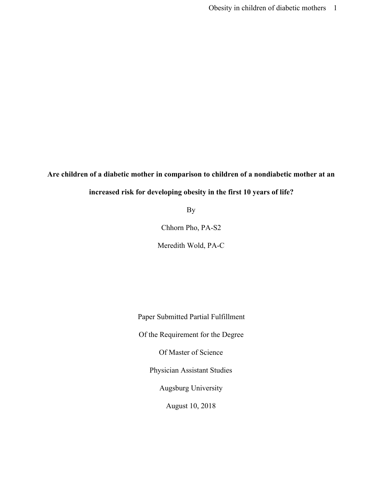**Are children of a diabetic mother in comparison to children of a nondiabetic mother at an**

### **increased risk for developing obesity in the first 10 years of life?**

By

Chhorn Pho, PA-S2

Meredith Wold, PA-C

Paper Submitted Partial Fulfillment

Of the Requirement for the Degree

Of Master of Science

Physician Assistant Studies

Augsburg University

August 10, 2018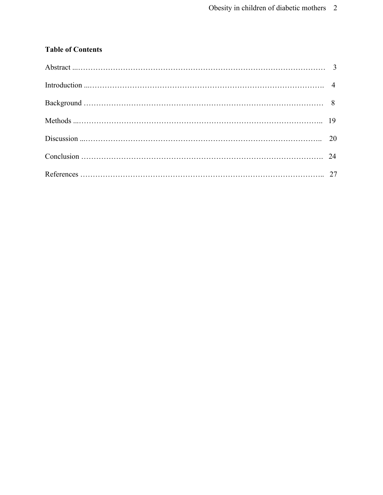## **Table of Contents**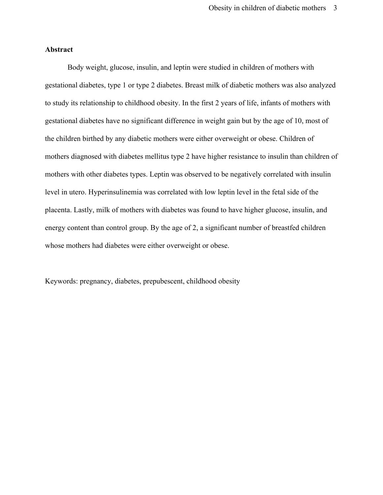#### **Abstract**

Body weight, glucose, insulin, and leptin were studied in children of mothers with gestational diabetes, type 1 or type 2 diabetes. Breast milk of diabetic mothers was also analyzed to study its relationship to childhood obesity. In the first 2 years of life, infants of mothers with gestational diabetes have no significant difference in weight gain but by the age of 10, most of the children birthed by any diabetic mothers were either overweight or obese. Children of mothers diagnosed with diabetes mellitus type 2 have higher resistance to insulin than children of mothers with other diabetes types. Leptin was observed to be negatively correlated with insulin level in utero. Hyperinsulinemia was correlated with low leptin level in the fetal side of the placenta. Lastly, milk of mothers with diabetes was found to have higher glucose, insulin, and energy content than control group. By the age of 2, a significant number of breastfed children whose mothers had diabetes were either overweight or obese.

Keywords: pregnancy, diabetes, prepubescent, childhood obesity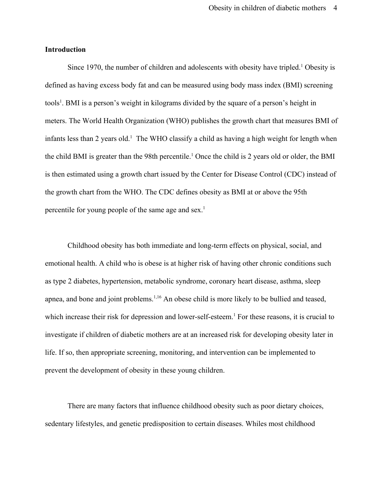#### **Introduction**

Since 1970, the number of children and adolescents with obesity have tripled.<sup>1</sup> Obesity is defined as having excess body fat and can be measured using body mass index (BMI) screening tools<sup>1</sup>. BMI is a person's weight in kilograms divided by the square of a person's height in meters. The World Health Organization (WHO) publishes the growth chart that measures BMI of infants less than 2 years old.<sup>1</sup> The WHO classify a child as having a high weight for length when the child BMI is greater than the 98th percentile.<sup>1</sup> Once the child is 2 years old or older, the BMI is then estimated using a growth chart issued by the Center for Disease Control (CDC) instead of the growth chart from the WHO. The CDC defines obesity as BMI at or above the 95th percentile for young people of the same age and sex.1

Childhood obesity has both immediate and long-term effects on physical, social, and emotional health. A child who is obese is at higher risk of having other chronic conditions such as type 2 diabetes, hypertension, metabolic syndrome, coronary heart disease, asthma, sleep apnea, and bone and joint problems.<sup>1,16</sup> An obese child is more likely to be bullied and teased, which increase their risk for depression and lower-self-esteem.<sup>1</sup> For these reasons, it is crucial to investigate if children of diabetic mothers are at an increased risk for developing obesity later in life. If so, then appropriate screening, monitoring, and intervention can be implemented to prevent the development of obesity in these young children.

There are many factors that influence childhood obesity such as poor dietary choices, sedentary lifestyles, and genetic predisposition to certain diseases. Whiles most childhood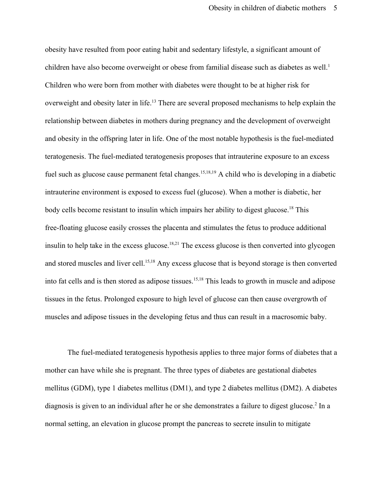obesity have resulted from poor eating habit and sedentary lifestyle, a significant amount of children have also become overweight or obese from familial disease such as diabetes as well.<sup>1</sup> Children who were born from mother with diabetes were thought to be at higher risk for overweight and obesity later in life.<sup>13</sup> There are several proposed mechanisms to help explain the relationship between diabetes in mothers during pregnancy and the development of overweight and obesity in the offspring later in life. One of the most notable hypothesis is the fuel-mediated teratogenesis. The fuel-mediated teratogenesis proposes that intrauterine exposure to an excess fuel such as glucose cause permanent fetal changes.<sup>15,18,19</sup> A child who is developing in a diabetic intrauterine environment is exposed to excess fuel (glucose). When a mother is diabetic, her body cells become resistant to insulin which impairs her ability to digest glucose.<sup>18</sup> This free-floating glucose easily crosses the placenta and stimulates the fetus to produce additional insulin to help take in the excess glucose.<sup>18,21</sup> The excess glucose is then converted into glycogen and stored muscles and liver cell.<sup>15,18</sup> Any excess glucose that is beyond storage is then converted into fat cells and is then stored as adipose tissues.<sup>15,18</sup> This leads to growth in muscle and adipose tissues in the fetus. Prolonged exposure to high level of glucose can then cause overgrowth of muscles and adipose tissues in the developing fetus and thus can result in a macrosomic baby.

The fuel-mediated teratogenesis hypothesis applies to three major forms of diabetes that a mother can have while she is pregnant. The three types of diabetes are gestational diabetes mellitus (GDM), type 1 diabetes mellitus (DM1), and type 2 diabetes mellitus (DM2). A diabetes diagnosis is given to an individual after he or she demonstrates a failure to digest glucose.<sup>2</sup> In a normal setting, an elevation in glucose prompt the pancreas to secrete insulin to mitigate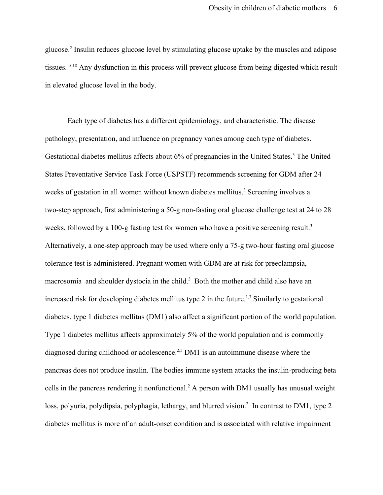glucose.2 Insulin reduces glucose level by stimulating glucose uptake by the muscles and adipose tissues.<sup>15,18</sup> Any dysfunction in this process will prevent glucose from being digested which result in elevated glucose level in the body.

Each type of diabetes has a different epidemiology, and characteristic. The disease pathology, presentation, and influence on pregnancy varies among each type of diabetes. Gestational diabetes mellitus affects about 6% of pregnancies in the United States.<sup>3</sup> The United States Preventative Service Task Force (USPSTF) recommends screening for GDM after 24 weeks of gestation in all women without known diabetes mellitus.<sup>3</sup> Screening involves a two-step approach, first administering a 50-g non-fasting oral glucose challenge test at 24 to 28 weeks, followed by a 100-g fasting test for women who have a positive screening result.<sup>3</sup> Alternatively, a one-step approach may be used where only a 75-g two-hour fasting oral glucose tolerance test is administered. Pregnant women with GDM are at risk for preeclampsia, macrosomia and shoulder dystocia in the child.<sup>3</sup> Both the mother and child also have an increased risk for developing diabetes mellitus type 2 in the future.<sup>1,3</sup> Similarly to gestational diabetes, type 1 diabetes mellitus (DM1) also affect a significant portion of the world population. Type 1 diabetes mellitus affects approximately 5% of the world population and is commonly diagnosed during childhood or adolescence.<sup>2,5</sup> DM1 is an autoimmune disease where the pancreas does not produce insulin. The bodies immune system attacks the insulin-producing beta cells in the pancreas rendering it nonfunctional.<sup>2</sup> A person with DM1 usually has unusual weight loss, polyuria, polydipsia, polyphagia, lethargy, and blurred vision.<sup>2</sup> In contrast to DM1, type 2 diabetes mellitus is more of an adult-onset condition and is associated with relative impairment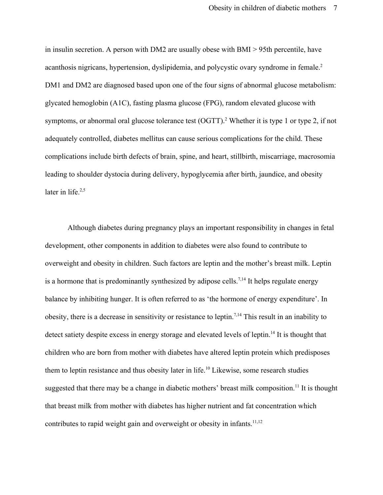in insulin secretion. A person with DM2 are usually obese with BMI > 95th percentile, have acanthosis nigricans, hypertension, dyslipidemia, and polycystic ovary syndrome in female.2 DM1 and DM2 are diagnosed based upon one of the four signs of abnormal glucose metabolism: glycated hemoglobin (A1C), fasting plasma glucose (FPG), random elevated glucose with symptoms, or abnormal oral glucose tolerance test (OGTT).<sup>2</sup> Whether it is type 1 or type 2, if not adequately controlled, diabetes mellitus can cause serious complications for the child. These complications include birth defects of brain, spine, and heart, stillbirth, miscarriage, macrosomia leading to shoulder dystocia during delivery, hypoglycemia after birth, jaundice, and obesity later in life.<sup>2,5</sup>

Although diabetes during pregnancy plays an important responsibility in changes in fetal development, other components in addition to diabetes were also found to contribute to overweight and obesity in children. Such factors are leptin and the mother's breast milk. Leptin is a hormone that is predominantly synthesized by adipose cells.<sup>7,14</sup> It helps regulate energy balance by inhibiting hunger. It is often referred to as 'the hormone of energy expenditure'. In obesity, there is a decrease in sensitivity or resistance to leptin.<sup>7,14</sup> This result in an inability to detect satiety despite excess in energy storage and elevated levels of leptin.<sup>14</sup> It is thought that children who are born from mother with diabetes have altered leptin protein which predisposes them to leptin resistance and thus obesity later in life.<sup>10</sup> Likewise, some research studies suggested that there may be a change in diabetic mothers' breast milk composition.<sup>11</sup> It is thought that breast milk from mother with diabetes has higher nutrient and fat concentration which contributes to rapid weight gain and overweight or obesity in infants.<sup>11,12</sup>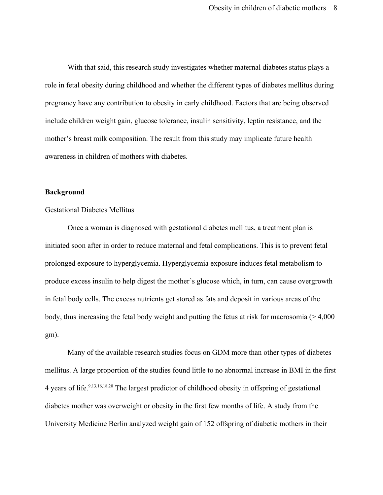With that said, this research study investigates whether maternal diabetes status plays a role in fetal obesity during childhood and whether the different types of diabetes mellitus during pregnancy have any contribution to obesity in early childhood. Factors that are being observed include children weight gain, glucose tolerance, insulin sensitivity, leptin resistance, and the mother's breast milk composition. The result from this study may implicate future health awareness in children of mothers with diabetes.

#### **Background**

#### Gestational Diabetes Mellitus

Once a woman is diagnosed with gestational diabetes mellitus, a treatment plan is initiated soon after in order to reduce maternal and fetal complications. This is to prevent fetal prolonged exposure to hyperglycemia. Hyperglycemia exposure induces fetal metabolism to produce excess insulin to help digest the mother's glucose which, in turn, can cause overgrowth in fetal body cells. The excess nutrients get stored as fats and deposit in various areas of the body, thus increasing the fetal body weight and putting the fetus at risk for macrosomia  $(>4,000)$ gm).

Many of the available research studies focus on GDM more than other types of diabetes mellitus. A large proportion of the studies found little to no abnormal increase in BMI in the first 4 years of life.<sup>9,13,16,18,20</sup> The largest predictor of childhood obesity in offspring of gestational diabetes mother was overweight or obesity in the first few months of life. A study from the University Medicine Berlin analyzed weight gain of 152 offspring of diabetic mothers in their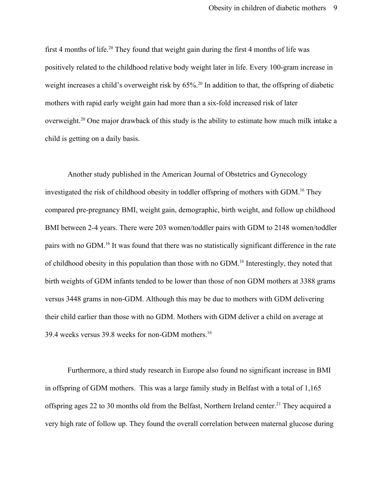first 4 months of life.<sup>20</sup> They found that weight gain during the first 4 months of life was positively related to the childhood relative body weight later in life. Every 100-gram increase in weight increases a child's overweight risk by 65%.<sup>20</sup> In addition to that, the offspring of diabetic mothers with rapid early weight gain had more than a six-fold increased risk of later overweight.<sup>20</sup> One major drawback of this study is the ability to estimate how much milk intake a child is getting on a daily basis.

Another study published in the American Journal of Obstetrics and Gynecology investigated the risk of childhood obesity in toddler offspring of mothers with GDM.<sup>16</sup> They compared pre-pregnancy BMI, weight gain, demographic, birth weight, and follow up childhood BMI between 2-4 years. There were 203 women/toddler pairs with GDM to 2148 women/toddler pairs with no GDM.<sup>16</sup> It was found that there was no statistically significant difference in the rate of childhood obesity in this population than those with no GDM.<sup>16</sup> Interestingly, they noted that birth weights of GDM infants tended to be lower than those of non GDM mothers at 3388 grams versus 3448 grams in non-GDM. Although this may be due to mothers with GDM delivering their child earlier than those with no GDM. Mothers with GDM deliver a child on average at 39.4 weeks versus 39.8 weeks for non-GDM mothers.16

Furthermore, a third study research in Europe also found no significant increase in BMI in offspring of GDM mothers. This was a large family study in Belfast with a total of 1,165 offspring ages 22 to 30 months old from the Belfast, Northern Ireland center.<sup>21</sup> They acquired a very high rate of follow up. They found the overall correlation between maternal glucose during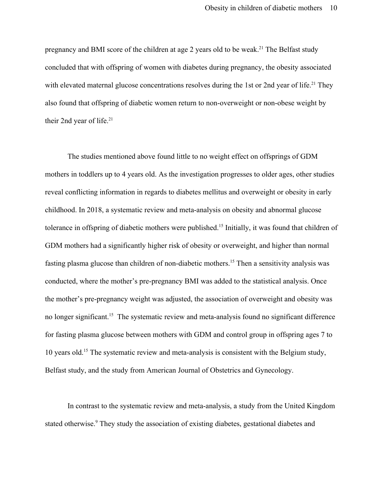pregnancy and BMI score of the children at age 2 years old to be weak.<sup>21</sup> The Belfast study concluded that with offspring of women with diabetes during pregnancy, the obesity associated with elevated maternal glucose concentrations resolves during the 1st or 2nd year of life.<sup>21</sup> They also found that offspring of diabetic women return to non-overweight or non-obese weight by their 2nd year of life.<sup>21</sup>

The studies mentioned above found little to no weight effect on offsprings of GDM mothers in toddlers up to 4 years old. As the investigation progresses to older ages, other studies reveal conflicting information in regards to diabetes mellitus and overweight or obesity in early childhood. In 2018, a systematic review and meta-analysis on obesity and abnormal glucose tolerance in offspring of diabetic mothers were published.<sup>15</sup> Initially, it was found that children of GDM mothers had a significantly higher risk of obesity or overweight, and higher than normal fasting plasma glucose than children of non-diabetic mothers.<sup>15</sup> Then a sensitivity analysis was conducted, where the mother's pre-pregnancy BMI was added to the statistical analysis. Once the mother's pre-pregnancy weight was adjusted, the association of overweight and obesity was no longer significant.<sup>15</sup> The systematic review and meta-analysis found no significant difference for fasting plasma glucose between mothers with GDM and control group in offspring ages 7 to 10 years old.<sup>15</sup> The systematic review and meta-analysis is consistent with the Belgium study, Belfast study, and the study from American Journal of Obstetrics and Gynecology.

In contrast to the systematic review and meta-analysis, a study from the United Kingdom stated otherwise.<sup>9</sup> They study the association of existing diabetes, gestational diabetes and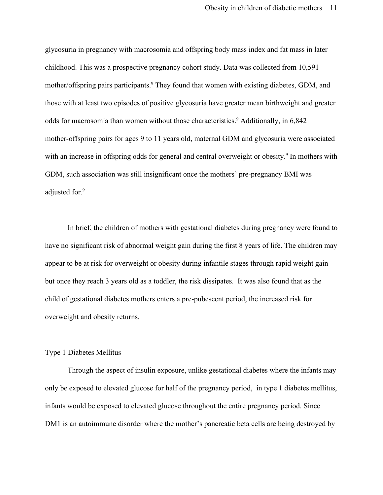glycosuria in pregnancy with macrosomia and offspring body mass index and fat mass in later childhood. This was a prospective pregnancy cohort study. Data was collected from 10,591 mother/offspring pairs participants.<sup>9</sup> They found that women with existing diabetes, GDM, and those with at least two episodes of positive glycosuria have greater mean birthweight and greater odds for macrosomia than women without those characteristics.<sup>9</sup> Additionally, in 6,842 mother-offspring pairs for ages 9 to 11 years old, maternal GDM and glycosuria were associated with an increase in offspring odds for general and central overweight or obesity.<sup>9</sup> In mothers with GDM, such association was still insignificant once the mothers' pre-pregnancy BMI was adjusted for.<sup>9</sup>

In brief, the children of mothers with gestational diabetes during pregnancy were found to have no significant risk of abnormal weight gain during the first 8 years of life. The children may appear to be at risk for overweight or obesity during infantile stages through rapid weight gain but once they reach 3 years old as a toddler, the risk dissipates. It was also found that as the child of gestational diabetes mothers enters a pre-pubescent period, the increased risk for overweight and obesity returns.

#### Type 1 Diabetes Mellitus

Through the aspect of insulin exposure, unlike gestational diabetes where the infants may only be exposed to elevated glucose for half of the pregnancy period, in type 1 diabetes mellitus, infants would be exposed to elevated glucose throughout the entire pregnancy period. Since DM1 is an autoimmune disorder where the mother's pancreatic beta cells are being destroyed by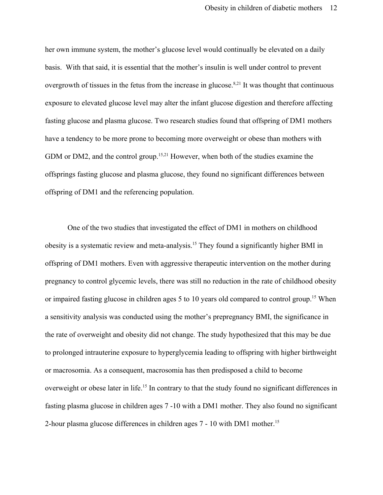her own immune system, the mother's glucose level would continually be elevated on a daily basis. With that said, it is essential that the mother's insulin is well under control to prevent overgrowth of tissues in the fetus from the increase in glucose.<sup>8,21</sup> It was thought that continuous exposure to elevated glucose level may alter the infant glucose digestion and therefore affecting fasting glucose and plasma glucose. Two research studies found that offspring of DM1 mothers have a tendency to be more prone to becoming more overweight or obese than mothers with GDM or DM2, and the control group.<sup>15,21</sup> However, when both of the studies examine the offsprings fasting glucose and plasma glucose, they found no significant differences between offspring of DM1 and the referencing population.

One of the two studies that investigated the effect of DM1 in mothers on childhood obesity is a systematic review and meta-analysis.<sup>15</sup> They found a significantly higher BMI in offspring of DM1 mothers. Even with aggressive therapeutic intervention on the mother during pregnancy to control glycemic levels, there was still no reduction in the rate of childhood obesity or impaired fasting glucose in children ages 5 to 10 years old compared to control group.<sup>15</sup> When a sensitivity analysis was conducted using the mother's prepregnancy BMI, the significance in the rate of overweight and obesity did not change. The study hypothesized that this may be due to prolonged intrauterine exposure to hyperglycemia leading to offspring with higher birthweight or macrosomia. As a consequent, macrosomia has then predisposed a child to become overweight or obese later in life.<sup>15</sup> In contrary to that the study found no significant differences in fasting plasma glucose in children ages 7 -10 with a DM1 mother. They also found no significant 2-hour plasma glucose differences in children ages 7 - 10 with DM1 mother.15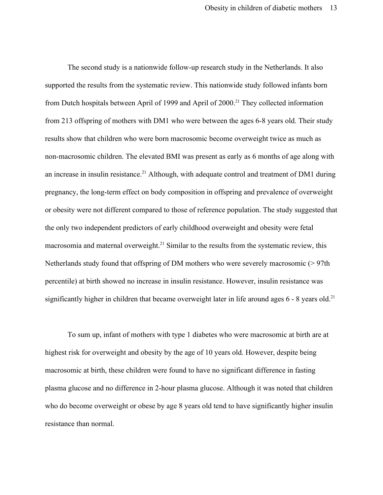The second study is a nationwide follow-up research study in the Netherlands. It also supported the results from the systematic review. This nationwide study followed infants born from Dutch hospitals between April of 1999 and April of 2000.<sup>21</sup> They collected information from 213 offspring of mothers with DM1 who were between the ages 6-8 years old. Their study results show that children who were born macrosomic become overweight twice as much as non-macrosomic children. The elevated BMI was present as early as 6 months of age along with an increase in insulin resistance.<sup>21</sup> Although, with adequate control and treatment of DM1 during pregnancy, the long-term effect on body composition in offspring and prevalence of overweight or obesity were not different compared to those of reference population. The study suggested that the only two independent predictors of early childhood overweight and obesity were fetal macrosomia and maternal overweight.<sup>21</sup> Similar to the results from the systematic review, this Netherlands study found that offspring of DM mothers who were severely macrosomic (> 97th percentile) at birth showed no increase in insulin resistance. However, insulin resistance was significantly higher in children that became overweight later in life around ages  $6 - 8$  years old.<sup>21</sup>

To sum up, infant of mothers with type 1 diabetes who were macrosomic at birth are at highest risk for overweight and obesity by the age of 10 years old. However, despite being macrosomic at birth, these children were found to have no significant difference in fasting plasma glucose and no difference in 2-hour plasma glucose. Although it was noted that children who do become overweight or obese by age 8 years old tend to have significantly higher insulin resistance than normal.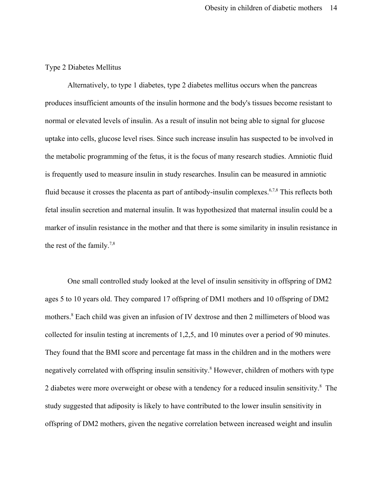#### Type 2 Diabetes Mellitus

Alternatively, to type 1 diabetes, type 2 diabetes mellitus occurs when the pancreas produces insufficient amounts of the insulin hormone and the body's tissues become resistant to normal or elevated levels of insulin. As a result of insulin not being able to signal for glucose uptake into cells, glucose level rises. Since such increase insulin has suspected to be involved in the metabolic programming of the fetus, it is the focus of many research studies. Amniotic fluid is frequently used to measure insulin in study researches. Insulin can be measured in amniotic fluid because it crosses the placenta as part of antibody-insulin complexes.<sup>6,7,8</sup> This reflects both fetal insulin secretion and maternal insulin. It was hypothesized that maternal insulin could be a marker of insulin resistance in the mother and that there is some similarity in insulin resistance in the rest of the family.<sup>7,8</sup>

One small controlled study looked at the level of insulin sensitivity in offspring of DM2 ages 5 to 10 years old. They compared 17 offspring of DM1 mothers and 10 offspring of DM2 mothers.<sup>8</sup> Each child was given an infusion of IV dextrose and then 2 millimeters of blood was collected for insulin testing at increments of 1,2,5, and 10 minutes over a period of 90 minutes. They found that the BMI score and percentage fat mass in the children and in the mothers were negatively correlated with offspring insulin sensitivity.<sup>8</sup> However, children of mothers with type 2 diabetes were more overweight or obese with a tendency for a reduced insulin sensitivity.<sup>8</sup> The study suggested that adiposity is likely to have contributed to the lower insulin sensitivity in offspring of DM2 mothers, given the negative correlation between increased weight and insulin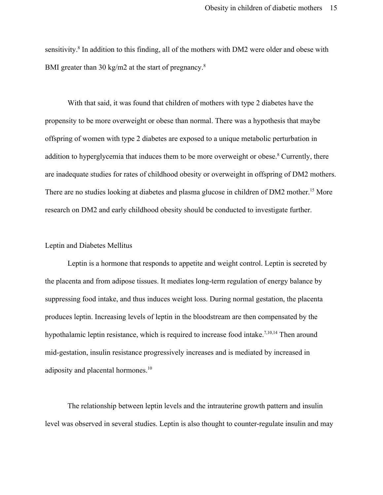sensitivity.<sup>8</sup> In addition to this finding, all of the mothers with DM2 were older and obese with BMI greater than 30 kg/m2 at the start of pregnancy.<sup>8</sup>

With that said, it was found that children of mothers with type 2 diabetes have the propensity to be more overweight or obese than normal. There was a hypothesis that maybe offspring of women with type 2 diabetes are exposed to a unique metabolic perturbation in addition to hyperglycemia that induces them to be more overweight or obese.<sup>8</sup> Currently, there are inadequate studies for rates of childhood obesity or overweight in offspring of DM2 mothers. There are no studies looking at diabetes and plasma glucose in children of DM2 mother.<sup>15</sup> More research on DM2 and early childhood obesity should be conducted to investigate further.

#### Leptin and Diabetes Mellitus

Leptin is a hormone that responds to appetite and weight control. Leptin is secreted by the placenta and from adipose tissues. It mediates long-term regulation of energy balance by suppressing food intake, and thus induces weight loss. During normal gestation, the placenta produces leptin. Increasing levels of leptin in the bloodstream are then compensated by the hypothalamic leptin resistance, which is required to increase food intake.<sup>7,10,14</sup> Then around mid-gestation, insulin resistance progressively increases and is mediated by increased in adiposity and placental hormones.<sup>10</sup>

The relationship between leptin levels and the intrauterine growth pattern and insulin level was observed in several studies. Leptin is also thought to counter-regulate insulin and may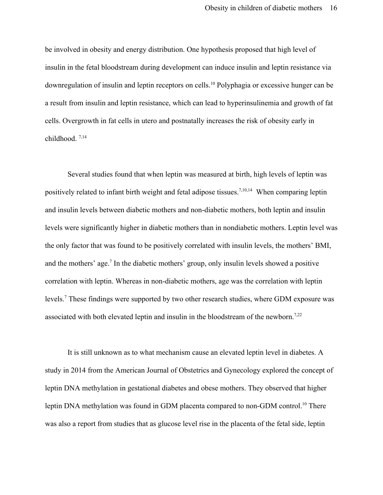be involved in obesity and energy distribution. One hypothesis proposed that high level of insulin in the fetal bloodstream during development can induce insulin and leptin resistance via downregulation of insulin and leptin receptors on cells.<sup>10</sup> Polyphagia or excessive hunger can be a result from insulin and leptin resistance, which can lead to hyperinsulinemia and growth of fat cells. Overgrowth in fat cells in utero and postnatally increases the risk of obesity early in childhood. 7,14

Several studies found that when leptin was measured at birth, high levels of leptin was positively related to infant birth weight and fetal adipose tissues.<sup>7,10,14</sup> When comparing leptin and insulin levels between diabetic mothers and non-diabetic mothers, both leptin and insulin levels were significantly higher in diabetic mothers than in nondiabetic mothers. Leptin level was the only factor that was found to be positively correlated with insulin levels, the mothers' BMI, and the mothers' age.<sup>7</sup> In the diabetic mothers' group, only insulin levels showed a positive correlation with leptin. Whereas in non-diabetic mothers, age was the correlation with leptin levels.<sup>7</sup> These findings were supported by two other research studies, where GDM exposure was associated with both elevated leptin and insulin in the bloodstream of the newborn.<sup>7,22</sup>

It is still unknown as to what mechanism cause an elevated leptin level in diabetes. A study in 2014 from the American Journal of Obstetrics and Gynecology explored the concept of leptin DNA methylation in gestational diabetes and obese mothers. They observed that higher leptin DNA methylation was found in GDM placenta compared to non-GDM control.<sup>10</sup> There was also a report from studies that as glucose level rise in the placenta of the fetal side, leptin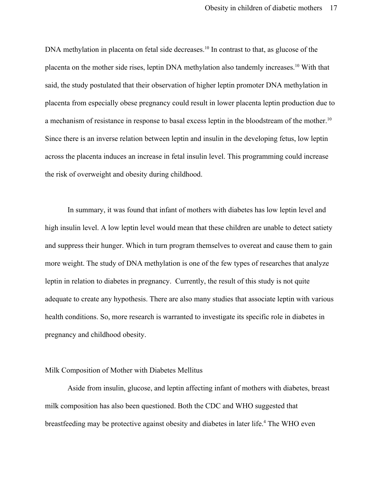DNA methylation in placenta on fetal side decreases.<sup>10</sup> In contrast to that, as glucose of the placenta on the mother side rises, leptin DNA methylation also tandemly increases.<sup>10</sup> With that said, the study postulated that their observation of higher leptin promoter DNA methylation in placenta from especially obese pregnancy could result in lower placenta leptin production due to a mechanism of resistance in response to basal excess leptin in the bloodstream of the mother.<sup>10</sup> Since there is an inverse relation between leptin and insulin in the developing fetus, low leptin across the placenta induces an increase in fetal insulin level. This programming could increase the risk of overweight and obesity during childhood.

In summary, it was found that infant of mothers with diabetes has low leptin level and high insulin level. A low leptin level would mean that these children are unable to detect satiety and suppress their hunger. Which in turn program themselves to overeat and cause them to gain more weight. The study of DNA methylation is one of the few types of researches that analyze leptin in relation to diabetes in pregnancy. Currently, the result of this study is not quite adequate to create any hypothesis. There are also many studies that associate leptin with various health conditions. So, more research is warranted to investigate its specific role in diabetes in pregnancy and childhood obesity.

#### Milk Composition of Mother with Diabetes Mellitus

Aside from insulin, glucose, and leptin affecting infant of mothers with diabetes, breast milk composition has also been questioned. Both the CDC and WHO suggested that breastfeeding may be protective against obesity and diabetes in later life.<sup>4</sup> The WHO even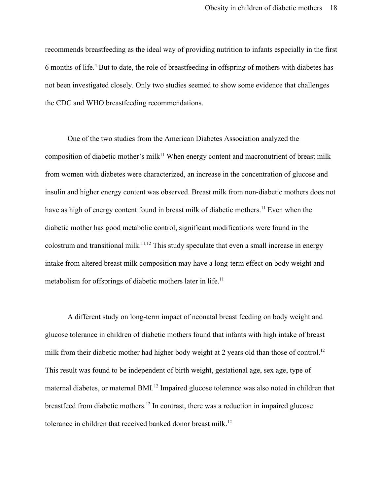recommends breastfeeding as the ideal way of providing nutrition to infants especially in the first 6 months of life.<sup>4</sup> But to date, the role of breastfeeding in offspring of mothers with diabetes has not been investigated closely. Only two studies seemed to show some evidence that challenges the CDC and WHO breastfeeding recommendations.

One of the two studies from the American Diabetes Association analyzed the composition of diabetic mother's milk<sup>11</sup> When energy content and macronutrient of breast milk from women with diabetes were characterized, an increase in the concentration of glucose and insulin and higher energy content was observed. Breast milk from non-diabetic mothers does not have as high of energy content found in breast milk of diabetic mothers.<sup>11</sup> Even when the diabetic mother has good metabolic control, significant modifications were found in the colostrum and transitional milk.<sup>11,12</sup> This study speculate that even a small increase in energy intake from altered breast milk composition may have a long-term effect on body weight and metabolism for offsprings of diabetic mothers later in life.<sup>11</sup>

A different study on long-term impact of neonatal breast feeding on body weight and glucose tolerance in children of diabetic mothers found that infants with high intake of breast milk from their diabetic mother had higher body weight at 2 years old than those of control.<sup>12</sup> This result was found to be independent of birth weight, gestational age, sex age, type of maternal diabetes, or maternal BMI.<sup>12</sup> Impaired glucose tolerance was also noted in children that breastfeed from diabetic mothers.<sup>12</sup> In contrast, there was a reduction in impaired glucose tolerance in children that received banked donor breast milk.<sup>12</sup>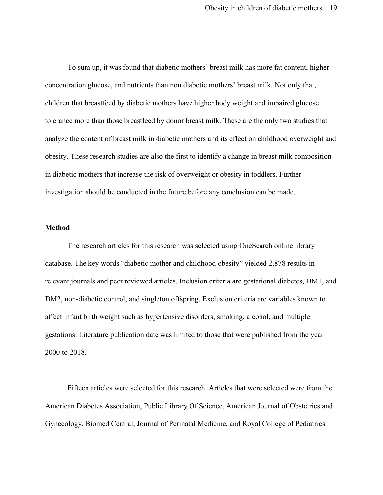To sum up, it was found that diabetic mothers' breast milk has more fat content, higher concentration glucose, and nutrients than non diabetic mothers' breast milk. Not only that, children that breastfeed by diabetic mothers have higher body weight and impaired glucose tolerance more than those breastfeed by donor breast milk. These are the only two studies that analyze the content of breast milk in diabetic mothers and its effect on childhood overweight and obesity. These research studies are also the first to identify a change in breast milk composition in diabetic mothers that increase the risk of overweight or obesity in toddlers. Further investigation should be conducted in the future before any conclusion can be made.

#### **Method**

The research articles for this research was selected using OneSearch online library database. The key words "diabetic mother and childhood obesity" yielded 2,878 results in relevant journals and peer reviewed articles. Inclusion criteria are gestational diabetes, DM1, and DM2, non-diabetic control, and singleton offspring. Exclusion criteria are variables known to affect infant birth weight such as hypertensive disorders, smoking, alcohol, and multiple gestations. Literature publication date was limited to those that were published from the year 2000 to 2018.

Fifteen articles were selected for this research. Articles that were selected were from the American Diabetes Association, Public Library Of Science, American Journal of Obstetrics and Gynecology, Biomed Central, Journal of Perinatal Medicine, and Royal College of Pediatrics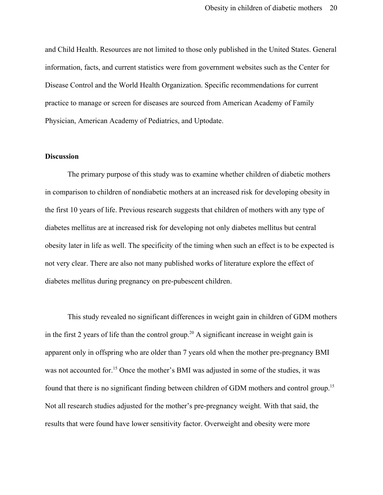and Child Health. Resources are not limited to those only published in the United States. General information, facts, and current statistics were from government websites such as the Center for Disease Control and the World Health Organization. Specific recommendations for current practice to manage or screen for diseases are sourced from American Academy of Family Physician, American Academy of Pediatrics, and Uptodate.

#### **Discussion**

The primary purpose of this study was to examine whether children of diabetic mothers in comparison to children of nondiabetic mothers at an increased risk for developing obesity in the first 10 years of life. Previous research suggests that children of mothers with any type of diabetes mellitus are at increased risk for developing not only diabetes mellitus but central obesity later in life as well. The specificity of the timing when such an effect is to be expected is not very clear. There are also not many published works of literature explore the effect of diabetes mellitus during pregnancy on pre-pubescent children.

This study revealed no significant differences in weight gain in children of GDM mothers in the first 2 years of life than the control group.<sup>20</sup> A significant increase in weight gain is apparent only in offspring who are older than 7 years old when the mother pre-pregnancy BMI was not accounted for.<sup>15</sup> Once the mother's BMI was adjusted in some of the studies, it was found that there is no significant finding between children of GDM mothers and control group.<sup>15</sup> Not all research studies adjusted for the mother's pre-pregnancy weight. With that said, the results that were found have lower sensitivity factor. Overweight and obesity were more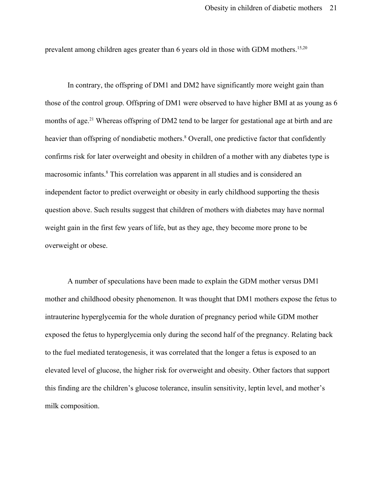prevalent among children ages greater than 6 years old in those with GDM mothers.15,20

In contrary, the offspring of DM1 and DM2 have significantly more weight gain than those of the control group. Offspring of DM1 were observed to have higher BMI at as young as 6 months of age.<sup>21</sup> Whereas offspring of DM2 tend to be larger for gestational age at birth and are heavier than offspring of nondiabetic mothers.<sup>8</sup> Overall, one predictive factor that confidently confirms risk for later overweight and obesity in children of a mother with any diabetes type is macrosomic infants.<sup>8</sup> This correlation was apparent in all studies and is considered an independent factor to predict overweight or obesity in early childhood supporting the thesis question above. Such results suggest that children of mothers with diabetes may have normal weight gain in the first few years of life, but as they age, they become more prone to be overweight or obese.

A number of speculations have been made to explain the GDM mother versus DM1 mother and childhood obesity phenomenon. It was thought that DM1 mothers expose the fetus to intrauterine hyperglycemia for the whole duration of pregnancy period while GDM mother exposed the fetus to hyperglycemia only during the second half of the pregnancy. Relating back to the fuel mediated teratogenesis, it was correlated that the longer a fetus is exposed to an elevated level of glucose, the higher risk for overweight and obesity. Other factors that support this finding are the children's glucose tolerance, insulin sensitivity, leptin level, and mother's milk composition.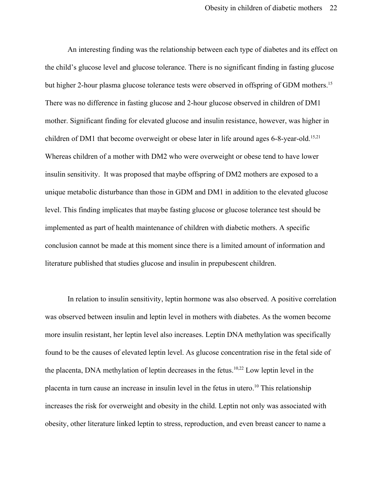An interesting finding was the relationship between each type of diabetes and its effect on the child's glucose level and glucose tolerance. There is no significant finding in fasting glucose but higher 2-hour plasma glucose tolerance tests were observed in offspring of GDM mothers.<sup>15</sup> There was no difference in fasting glucose and 2-hour glucose observed in children of DM1 mother. Significant finding for elevated glucose and insulin resistance, however, was higher in children of DM1 that become overweight or obese later in life around ages 6-8-year-old.<sup>15,21</sup> Whereas children of a mother with DM2 who were overweight or obese tend to have lower insulin sensitivity. It was proposed that maybe offspring of DM2 mothers are exposed to a unique metabolic disturbance than those in GDM and DM1 in addition to the elevated glucose level. This finding implicates that maybe fasting glucose or glucose tolerance test should be implemented as part of health maintenance of children with diabetic mothers. A specific conclusion cannot be made at this moment since there is a limited amount of information and literature published that studies glucose and insulin in prepubescent children.

In relation to insulin sensitivity, leptin hormone was also observed. A positive correlation was observed between insulin and leptin level in mothers with diabetes. As the women become more insulin resistant, her leptin level also increases. Leptin DNA methylation was specifically found to be the causes of elevated leptin level. As glucose concentration rise in the fetal side of the placenta, DNA methylation of leptin decreases in the fetus.<sup>10,22</sup> Low leptin level in the placenta in turn cause an increase in insulin level in the fetus in utero.<sup>10</sup> This relationship increases the risk for overweight and obesity in the child. Leptin not only was associated with obesity, other literature linked leptin to stress, reproduction, and even breast cancer to name a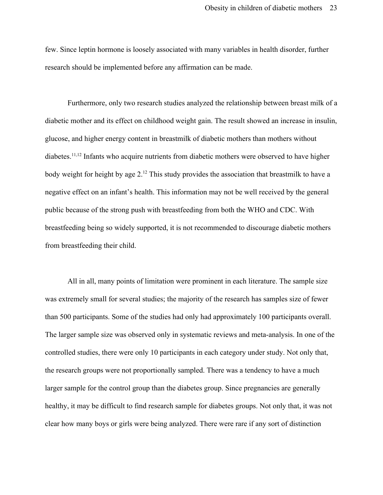few. Since leptin hormone is loosely associated with many variables in health disorder, further research should be implemented before any affirmation can be made.

Furthermore, only two research studies analyzed the relationship between breast milk of a diabetic mother and its effect on childhood weight gain. The result showed an increase in insulin, glucose, and higher energy content in breastmilk of diabetic mothers than mothers without diabetes.<sup>11,12</sup> Infants who acquire nutrients from diabetic mothers were observed to have higher body weight for height by age 2.<sup>12</sup> This study provides the association that breastmilk to have a negative effect on an infant's health. This information may not be well received by the general public because of the strong push with breastfeeding from both the WHO and CDC. With breastfeeding being so widely supported, it is not recommended to discourage diabetic mothers from breastfeeding their child.

All in all, many points of limitation were prominent in each literature. The sample size was extremely small for several studies; the majority of the research has samples size of fewer than 500 participants. Some of the studies had only had approximately 100 participants overall. The larger sample size was observed only in systematic reviews and meta-analysis. In one of the controlled studies, there were only 10 participants in each category under study. Not only that, the research groups were not proportionally sampled. There was a tendency to have a much larger sample for the control group than the diabetes group. Since pregnancies are generally healthy, it may be difficult to find research sample for diabetes groups. Not only that, it was not clear how many boys or girls were being analyzed. There were rare if any sort of distinction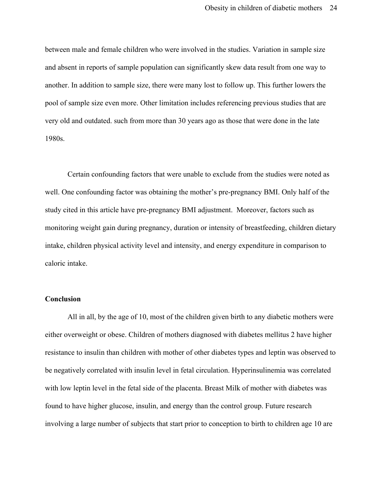between male and female children who were involved in the studies. Variation in sample size and absent in reports of sample population can significantly skew data result from one way to another. In addition to sample size, there were many lost to follow up. This further lowers the pool of sample size even more. Other limitation includes referencing previous studies that are very old and outdated. such from more than 30 years ago as those that were done in the late 1980s.

Certain confounding factors that were unable to exclude from the studies were noted as well. One confounding factor was obtaining the mother's pre-pregnancy BMI. Only half of the study cited in this article have pre-pregnancy BMI adjustment. Moreover, factors such as monitoring weight gain during pregnancy, duration or intensity of breastfeeding, children dietary intake, children physical activity level and intensity, and energy expenditure in comparison to caloric intake.

#### **Conclusion**

All in all, by the age of 10, most of the children given birth to any diabetic mothers were either overweight or obese. Children of mothers diagnosed with diabetes mellitus 2 have higher resistance to insulin than children with mother of other diabetes types and leptin was observed to be negatively correlated with insulin level in fetal circulation. Hyperinsulinemia was correlated with low leptin level in the fetal side of the placenta. Breast Milk of mother with diabetes was found to have higher glucose, insulin, and energy than the control group. Future research involving a large number of subjects that start prior to conception to birth to children age 10 are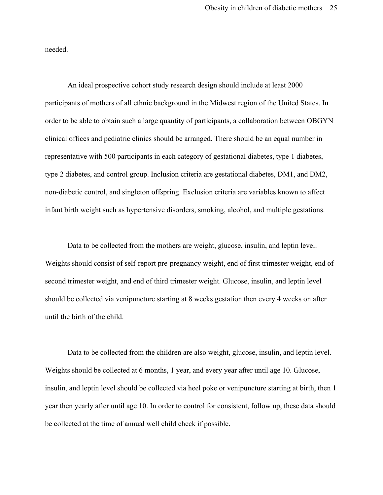needed.

An ideal prospective cohort study research design should include at least 2000 participants of mothers of all ethnic background in the Midwest region of the United States. In order to be able to obtain such a large quantity of participants, a collaboration between OBGYN clinical offices and pediatric clinics should be arranged. There should be an equal number in representative with 500 participants in each category of gestational diabetes, type 1 diabetes, type 2 diabetes, and control group. Inclusion criteria are gestational diabetes, DM1, and DM2, non-diabetic control, and singleton offspring. Exclusion criteria are variables known to affect infant birth weight such as hypertensive disorders, smoking, alcohol, and multiple gestations.

Data to be collected from the mothers are weight, glucose, insulin, and leptin level. Weights should consist of self-report pre-pregnancy weight, end of first trimester weight, end of second trimester weight, and end of third trimester weight. Glucose, insulin, and leptin level should be collected via venipuncture starting at 8 weeks gestation then every 4 weeks on after until the birth of the child.

Data to be collected from the children are also weight, glucose, insulin, and leptin level. Weights should be collected at 6 months, 1 year, and every year after until age 10. Glucose, insulin, and leptin level should be collected via heel poke or venipuncture starting at birth, then 1 year then yearly after until age 10. In order to control for consistent, follow up, these data should be collected at the time of annual well child check if possible.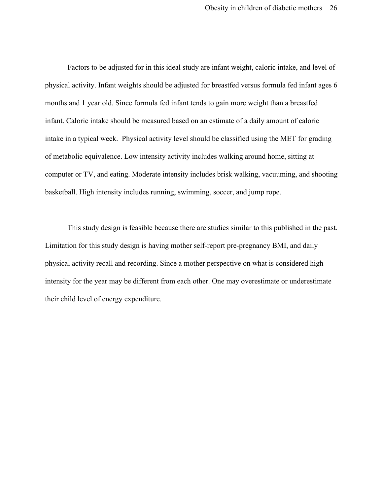Factors to be adjusted for in this ideal study are infant weight, caloric intake, and level of physical activity. Infant weights should be adjusted for breastfed versus formula fed infant ages 6 months and 1 year old. Since formula fed infant tends to gain more weight than a breastfed infant. Caloric intake should be measured based on an estimate of a daily amount of caloric intake in a typical week. Physical activity level should be classified using the MET for grading of metabolic equivalence. Low intensity activity includes walking around home, sitting at computer or TV, and eating. Moderate intensity includes brisk walking, vacuuming, and shooting basketball. High intensity includes running, swimming, soccer, and jump rope.

This study design is feasible because there are studies similar to this published in the past. Limitation for this study design is having mother self-report pre-pregnancy BMI, and daily physical activity recall and recording. Since a mother perspective on what is considered high intensity for the year may be different from each other. One may overestimate or underestimate their child level of energy expenditure.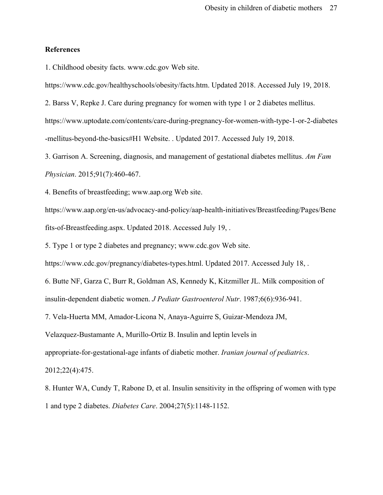#### **References**

1. Childhood obesity facts. www.cdc.gov Web site.

https://www.cdc.gov/healthyschools/obesity/facts.htm. Updated 2018. Accessed July 19, 2018.

2. Barss V, Repke J. Care during pregnancy for women with type 1 or 2 diabetes mellitus.

https://www.uptodate.com/contents/care-during-pregnancy-for-women-with-type-1-or-2-diabetes -mellitus-beyond-the-basics#H1 Website. . Updated 2017. Accessed July 19, 2018.

3. Garrison A. Screening, diagnosis, and management of gestational diabetes mellitus. *Am Fam Physician*. 2015;91(7):460-467.

4. Benefits of breastfeeding; www.aap.org Web site.

https://www.aap.org/en-us/advocacy-and-policy/aap-health-initiatives/Breastfeeding/Pages/Bene fits-of-Breastfeeding.aspx. Updated 2018. Accessed July 19, .

5. Type 1 or type 2 diabetes and pregnancy; www.cdc.gov Web site.

https://www.cdc.gov/pregnancy/diabetes-types.html. Updated 2017. Accessed July 18, .

6. Butte NF, Garza C, Burr R, Goldman AS, Kennedy K, Kitzmiller JL. Milk composition of insulin-dependent diabetic women. *J Pediatr Gastroenterol Nutr*. 1987;6(6):936-941.

7. Vela-Huerta MM, Amador-Licona N, Anaya-Aguirre S, Guizar-Mendoza JM,

Velazquez-Bustamante A, Murillo-Ortiz B. Insulin and leptin levels in

appropriate-for-gestational-age infants of diabetic mother. *Iranian journal of pediatrics*.

2012;22(4):475.

8. Hunter WA, Cundy T, Rabone D, et al. Insulin sensitivity in the offspring of women with type 1 and type 2 diabetes. *Diabetes Care*. 2004;27(5):1148-1152.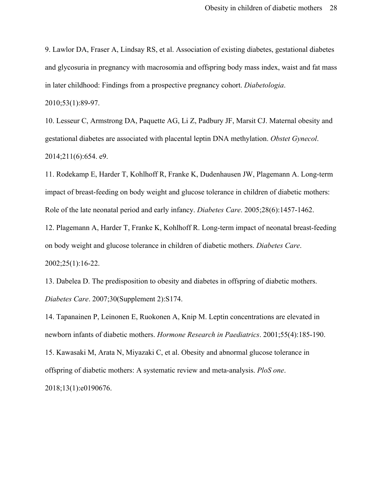9. Lawlor DA, Fraser A, Lindsay RS, et al. Association of existing diabetes, gestational diabetes and glycosuria in pregnancy with macrosomia and offspring body mass index, waist and fat mass in later childhood: Findings from a prospective pregnancy cohort. *Diabetologia*.

```
2010;53(1):89-97.
```
10. Lesseur C, Armstrong DA, Paquette AG, Li Z, Padbury JF, Marsit CJ. Maternal obesity and gestational diabetes are associated with placental leptin DNA methylation. *Obstet Gynecol*. 2014;211(6):654. e9.

11. Rodekamp E, Harder T, Kohlhoff R, Franke K, Dudenhausen JW, Plagemann A. Long-term impact of breast-feeding on body weight and glucose tolerance in children of diabetic mothers: Role of the late neonatal period and early infancy. *Diabetes Care*. 2005;28(6):1457-1462.

12. Plagemann A, Harder T, Franke K, Kohlhoff R. Long-term impact of neonatal breast-feeding on body weight and glucose tolerance in children of diabetic mothers. *Diabetes Care*. 2002;25(1):16-22.

13. Dabelea D. The predisposition to obesity and diabetes in offspring of diabetic mothers. *Diabetes Care*. 2007;30(Supplement 2):S174.

14. Tapanainen P, Leinonen E, Ruokonen A, Knip M. Leptin concentrations are elevated in newborn infants of diabetic mothers. *Hormone Research in Paediatrics*. 2001;55(4):185-190.

15. Kawasaki M, Arata N, Miyazaki C, et al. Obesity and abnormal glucose tolerance in offspring of diabetic mothers: A systematic review and meta-analysis. *PloS one*.

2018;13(1):e0190676.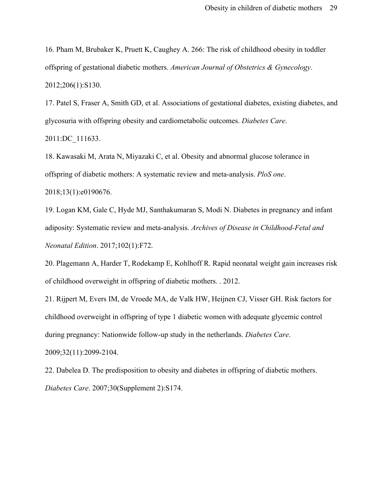16. Pham M, Brubaker K, Pruett K, Caughey A. 266: The risk of childhood obesity in toddler offspring of gestational diabetic mothers. *American Journal of Obstetrics & Gynecology*. 2012;206(1):S130.

17. Patel S, Fraser A, Smith GD, et al. Associations of gestational diabetes, existing diabetes, and glycosuria with offspring obesity and cardiometabolic outcomes. *Diabetes Care*. 2011:DC\_111633.

18. Kawasaki M, Arata N, Miyazaki C, et al. Obesity and abnormal glucose tolerance in offspring of diabetic mothers: A systematic review and meta-analysis. *PloS one*. 2018;13(1):e0190676.

19. Logan KM, Gale C, Hyde MJ, Santhakumaran S, Modi N. Diabetes in pregnancy and infant adiposity: Systematic review and meta-analysis. *Archives of Disease in Childhood-Fetal and Neonatal Edition*. 2017;102(1):F72.

20. Plagemann A, Harder T, Rodekamp E, Kohlhoff R. Rapid neonatal weight gain increases risk of childhood overweight in offspring of diabetic mothers. . 2012.

21. Rijpert M, Evers IM, de Vroede MA, de Valk HW, Heijnen CJ, Visser GH. Risk factors for childhood overweight in offspring of type 1 diabetic women with adequate glycemic control during pregnancy: Nationwide follow-up study in the netherlands. *Diabetes Care*. 2009;32(11):2099-2104.

22. Dabelea D. The predisposition to obesity and diabetes in offspring of diabetic mothers. *Diabetes Care*. 2007;30(Supplement 2):S174.